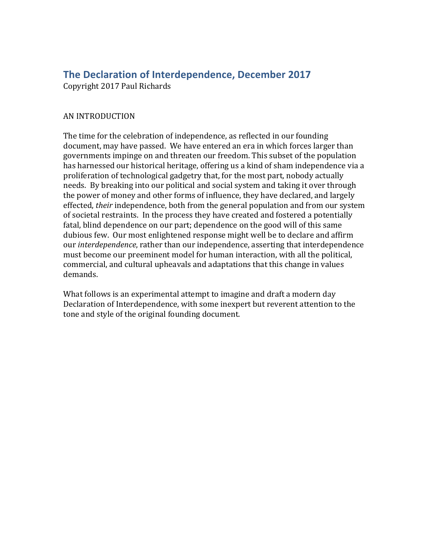## **The Declaration of Interdependence, December 2017**

Copyright 2017 Paul Richards

## AN INTRODUCTION

The time for the celebration of independence, as reflected in our founding document, may have passed. We have entered an era in which forces larger than governments impinge on and threaten our freedom. This subset of the population has harnessed our historical heritage, offering us a kind of sham independence via a proliferation of technological gadgetry that, for the most part, nobody actually needs. By breaking into our political and social system and taking it over through the power of money and other forms of influence, they have declared, and largely effected, *their* independence, both from the general population and from our system of societal restraints. In the process they have created and fostered a potentially fatal, blind dependence on our part; dependence on the good will of this same dubious few. Our most enlightened response might well be to declare and affirm our *interdependence*, rather than our independence, asserting that interdependence must become our preeminent model for human interaction, with all the political, commercial, and cultural upheavals and adaptations that this change in values demands. 

What follows is an experimental attempt to imagine and draft a modern day Declaration of Interdependence, with some inexpert but reverent attention to the tone and style of the original founding document.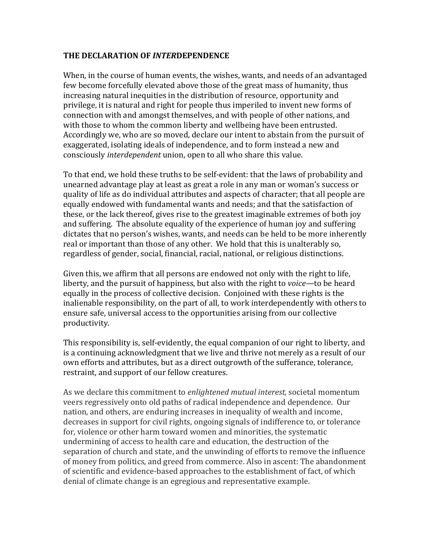## **THE DECLARATION OF** *INTER***DEPENDENCE**

When, in the course of human events, the wishes, wants, and needs of an advantaged few become forcefully elevated above those of the great mass of humanity, thus increasing natural inequities in the distribution of resource, opportunity and privilege, it is natural and right for people thus imperiled to invent new forms of connection with and amongst themselves, and with people of other nations, and with those to whom the common liberty and wellbeing have been entrusted. Accordingly we, who are so moved, declare our intent to abstain from the pursuit of exaggerated, isolating ideals of independence, and to form instead a new and consciously *interdependent* union, open to all who share this value.

To that end, we hold these truths to be self-evident: that the laws of probability and unearned advantage play at least as great a role in any man or woman's success or quality of life as do individual attributes and aspects of character; that all people are equally endowed with fundamental wants and needs; and that the satisfaction of these, or the lack thereof, gives rise to the greatest imaginable extremes of both joy and suffering. The absolute equality of the experience of human joy and suffering dictates that no person's wishes, wants, and needs can be held to be more inherently real or important than those of any other. We hold that this is unalterably so, regardless of gender, social, financial, racial, national, or religious distinctions.

Given this, we affirm that all persons are endowed not only with the right to life, liberty, and the pursuit of happiness, but also with the right to *voice*—to be heard equally in the process of collective decision. Conjoined with these rights is the inalienable responsibility, on the part of all, to work interdependently with others to ensure safe, universal access to the opportunities arising from our collective productivity. 

This responsibility is, self-evidently, the equal companion of our right to liberty, and is a continuing acknowledgment that we live and thrive not merely as a result of our own efforts and attributes, but as a direct outgrowth of the sufferance, tolerance, restraint, and support of our fellow creatures.

As we declare this commitment to *enlightened mutual interest*, societal momentum veers regressively onto old paths of radical independence and dependence. Our nation, and others, are enduring increases in inequality of wealth and income, decreases in support for civil rights, ongoing signals of indifference to, or tolerance for, violence or other harm toward women and minorities, the systematic undermining of access to health care and education, the destruction of the separation of church and state, and the unwinding of efforts to remove the influence of money from politics, and greed from commerce. Also in ascent: The abandonment of scientific and evidence-based approaches to the establishment of fact, of which denial of climate change is an egregious and representative example.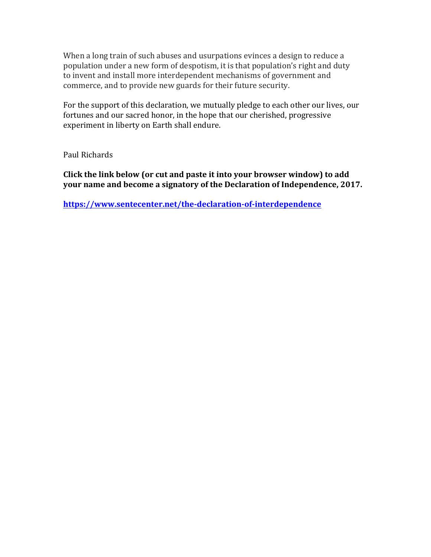When a long train of such abuses and usurpations evinces a design to reduce a population under a new form of despotism, it is that population's right and duty to invent and install more interdependent mechanisms of government and commerce, and to provide new guards for their future security.

For the support of this declaration, we mutually pledge to each other our lives, our fortunes and our sacred honor, in the hope that our cherished, progressive experiment in liberty on Earth shall endure.

Paul Richards

**Click the link below (or cut and paste it into your browser window) to add your name and become a signatory of the Declaration of Independence, 2017.** 

**https://www.sentecenter.net/the-declaration-of-interdependence**